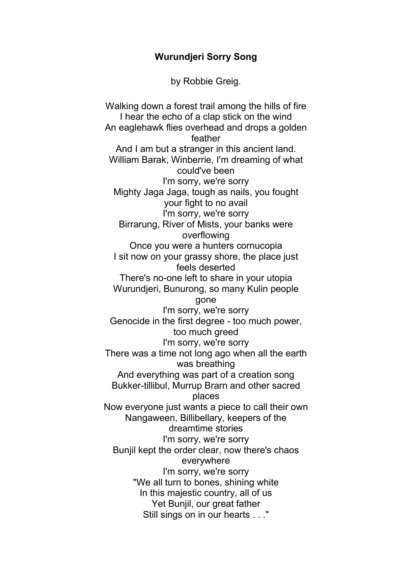## Wurundjeri Sorry Song

by Robbie Greig.

Walking down a forest trail among the hills of fire I hear the echo of a clap stick on the wind An eaglehawk flies overhead and drops a golden feather And I am but a stranger in this ancient land. William Barak, Winberrie, I'm dreaming of what could've been I'm sorry, we're sorry Mighty Jaga Jaga, tough as nails, you fought your fight to no avail I'm sorry, we're sorry Birrarung, River of Mists, your banks were overflowing Once you were a hunters cornucopia I sit now on your grassy shore, the place just feels deserted There's no-one left to share in your utopia Wurundjeri, Bunurong, so many Kulin people gone I'm sorry, we're sorry Genocide in the first degree - too much power, too much greed I'm sorry, we're sorry There was a time not long ago when all the earth was breathing And everything was part of a creation song Bukker-tillibul, Murrup Brarn and other sacred places Now everyone just wants a piece to call their own Nangaween, Billibellary, keepers of the dreamtime stories I'm sorry, we're sorry Bunjil kept the order clear, now there's chaos everywhere I'm sorry, we're sorry "We all turn to bones, shining white In this majestic country, all of us Yet Bunjil, our great father Still sings on in our hearts . . ."